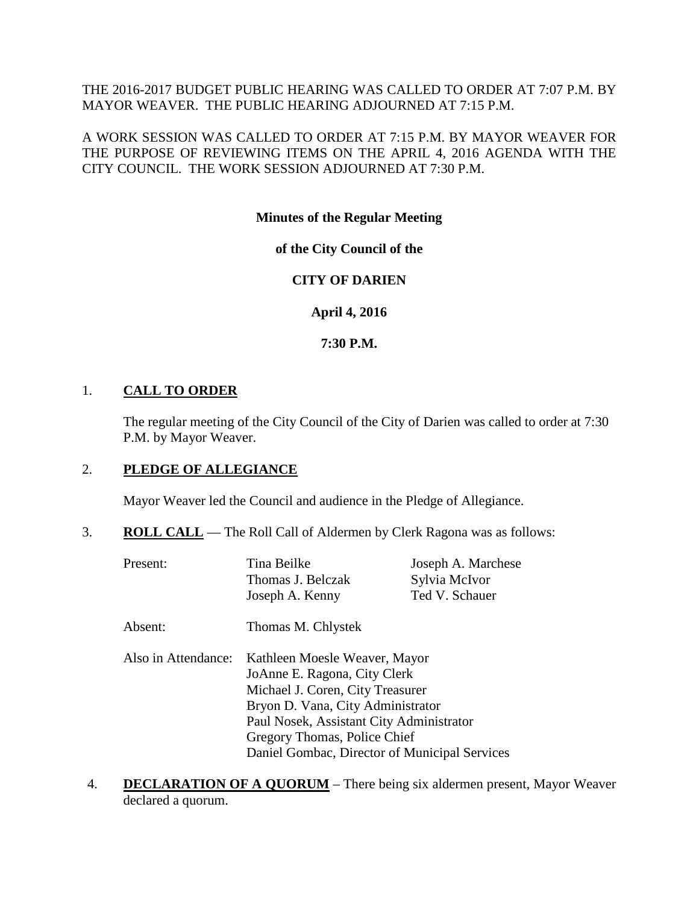THE 2016-2017 BUDGET PUBLIC HEARING WAS CALLED TO ORDER AT 7:07 P.M. BY MAYOR WEAVER. THE PUBLIC HEARING ADJOURNED AT 7:15 P.M.

A WORK SESSION WAS CALLED TO ORDER AT 7:15 P.M. BY MAYOR WEAVER FOR THE PURPOSE OF REVIEWING ITEMS ON THE APRIL 4, 2016 AGENDA WITH THE CITY COUNCIL. THE WORK SESSION ADJOURNED AT 7:30 P.M.

# **Minutes of the Regular Meeting**

# **of the City Council of the**

# **CITY OF DARIEN**

**April 4, 2016**

#### **7:30 P.M.**

# 1. **CALL TO ORDER**

The regular meeting of the City Council of the City of Darien was called to order at 7:30 P.M. by Mayor Weaver.

# 2. **PLEDGE OF ALLEGIANCE**

Mayor Weaver led the Council and audience in the Pledge of Allegiance.

3. **ROLL CALL** — The Roll Call of Aldermen by Clerk Ragona was as follows:

| Present:            | Tina Beilke                                   | Joseph A. Marchese |  |  |  |
|---------------------|-----------------------------------------------|--------------------|--|--|--|
|                     | Thomas J. Belczak                             | Sylvia McIvor      |  |  |  |
|                     | Joseph A. Kenny                               | Ted V. Schauer     |  |  |  |
| Absent:             | Thomas M. Chlystek                            |                    |  |  |  |
| Also in Attendance: | Kathleen Moesle Weaver, Mayor                 |                    |  |  |  |
|                     | JoAnne E. Ragona, City Clerk                  |                    |  |  |  |
|                     | Michael J. Coren, City Treasurer              |                    |  |  |  |
|                     | Bryon D. Vana, City Administrator             |                    |  |  |  |
|                     | Paul Nosek, Assistant City Administrator      |                    |  |  |  |
|                     | Gregory Thomas, Police Chief                  |                    |  |  |  |
|                     | Daniel Gombac, Director of Municipal Services |                    |  |  |  |

4. **DECLARATION OF A QUORUM** – There being six aldermen present, Mayor Weaver declared a quorum.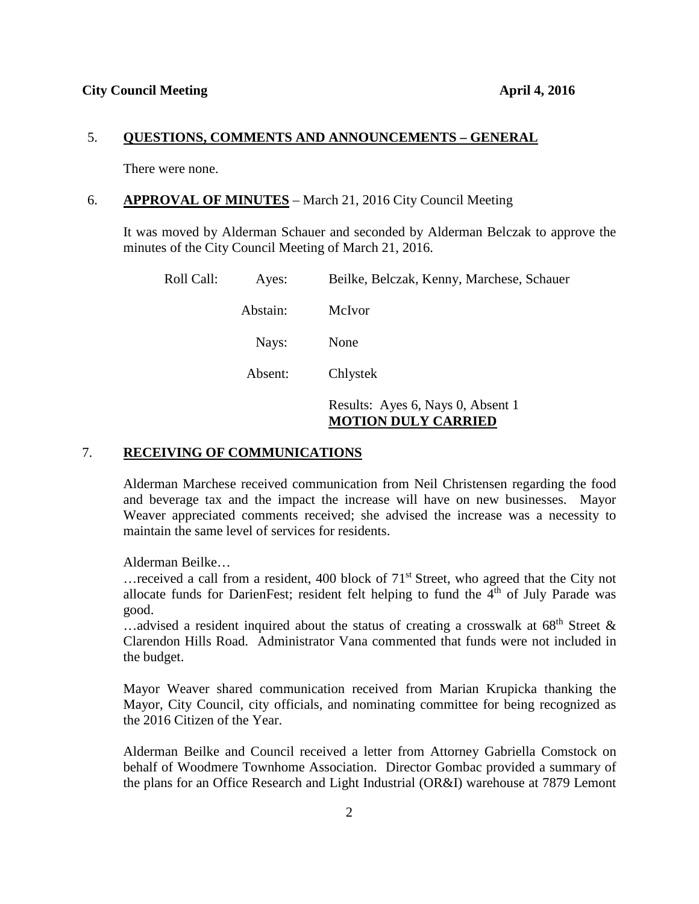#### 5. **QUESTIONS, COMMENTS AND ANNOUNCEMENTS – GENERAL**

There were none.

### 6. **APPROVAL OF MINUTES** – March 21, 2016 City Council Meeting

It was moved by Alderman Schauer and seconded by Alderman Belczak to approve the minutes of the City Council Meeting of March 21, 2016.

| Roll Call: | Ayes:    | Beilke, Belczak, Kenny, Marchese, Schauer |
|------------|----------|-------------------------------------------|
|            | Abstain: | McIvor                                    |
|            | Nays:    | None                                      |
|            | Absent:  | Chlystek                                  |
|            |          | Results: Ayes 6, Nays 0, Absent 1         |

# **MOTION DULY CARRIED**

### 7. **RECEIVING OF COMMUNICATIONS**

Alderman Marchese received communication from Neil Christensen regarding the food and beverage tax and the impact the increase will have on new businesses. Mayor Weaver appreciated comments received; she advised the increase was a necessity to maintain the same level of services for residents.

Alderman Beilke…

... received a call from a resident, 400 block of  $71<sup>st</sup>$  Street, who agreed that the City not allocate funds for DarienFest; resident felt helping to fund the  $4<sup>th</sup>$  of July Parade was good.

...advised a resident inquired about the status of creating a crosswalk at  $68<sup>th</sup>$  Street & Clarendon Hills Road. Administrator Vana commented that funds were not included in the budget.

Mayor Weaver shared communication received from Marian Krupicka thanking the Mayor, City Council, city officials, and nominating committee for being recognized as the 2016 Citizen of the Year.

Alderman Beilke and Council received a letter from Attorney Gabriella Comstock on behalf of Woodmere Townhome Association. Director Gombac provided a summary of the plans for an Office Research and Light Industrial (OR&I) warehouse at 7879 Lemont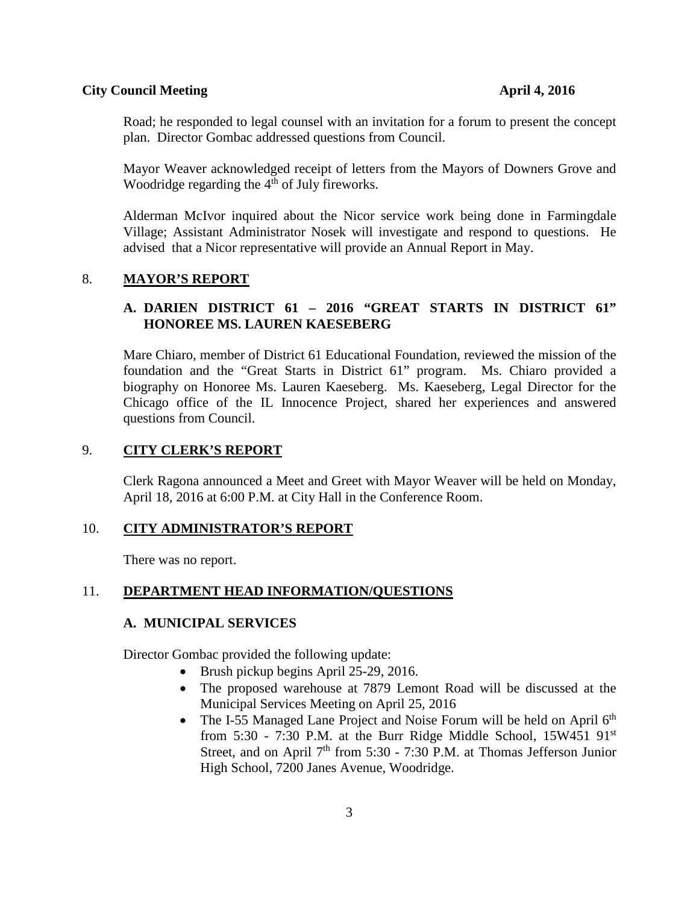Road; he responded to legal counsel with an invitation for a forum to present the concept plan. Director Gombac addressed questions from Council.

Mayor Weaver acknowledged receipt of letters from the Mayors of Downers Grove and Woodridge regarding the  $4<sup>th</sup>$  of July fireworks.

Alderman McIvor inquired about the Nicor service work being done in Farmingdale Village; Assistant Administrator Nosek will investigate and respond to questions. He advised that a Nicor representative will provide an Annual Report in May.

#### 8. **MAYOR'S REPORT**

# **A. DARIEN DISTRICT 61 – 2016 "GREAT STARTS IN DISTRICT 61" HONOREE MS. LAUREN KAESEBERG**

Mare Chiaro, member of District 61 Educational Foundation, reviewed the mission of the foundation and the "Great Starts in District 61" program. Ms. Chiaro provided a biography on Honoree Ms. Lauren Kaeseberg. Ms. Kaeseberg, Legal Director for the Chicago office of the IL Innocence Project, shared her experiences and answered questions from Council.

#### 9. **CITY CLERK'S REPORT**

Clerk Ragona announced a Meet and Greet with Mayor Weaver will be held on Monday, April 18, 2016 at 6:00 P.M. at City Hall in the Conference Room.

# 10. **CITY ADMINISTRATOR'S REPORT**

There was no report.

#### 11. **DEPARTMENT HEAD INFORMATION/QUESTIONS**

### **A. MUNICIPAL SERVICES**

Director Gombac provided the following update:

- Brush pickup begins April 25-29, 2016.
- The proposed warehouse at 7879 Lemont Road will be discussed at the Municipal Services Meeting on April 25, 2016
- The I-55 Managed Lane Project and Noise Forum will be held on April  $6<sup>th</sup>$ from 5:30 - 7:30 P.M. at the Burr Ridge Middle School,  $15W451$   $91<sup>st</sup>$ Street, and on April  $7<sup>th</sup>$  from 5:30 - 7:30 P.M. at Thomas Jefferson Junior High School, 7200 Janes Avenue, Woodridge.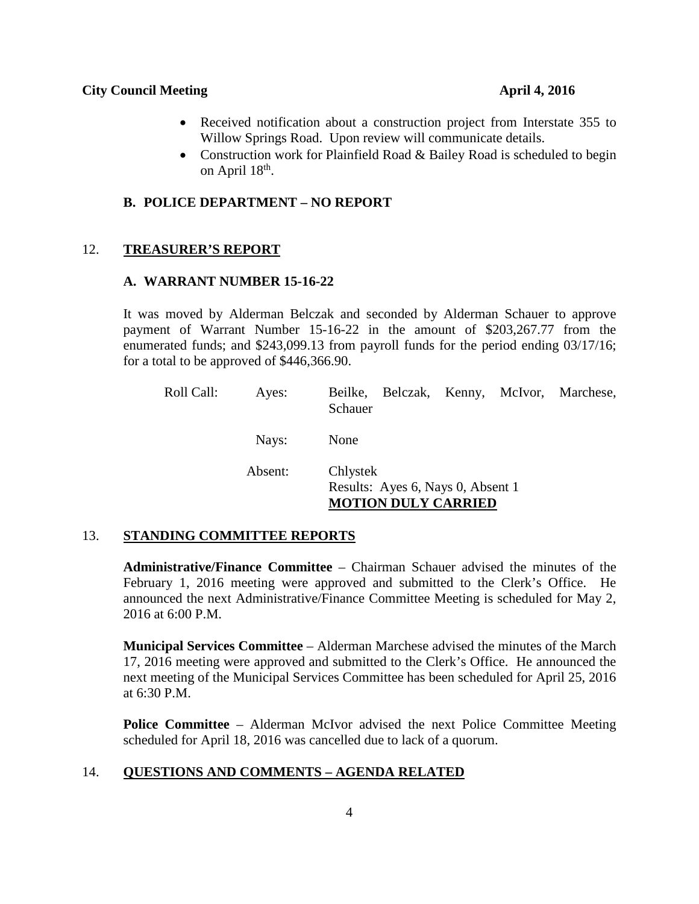- Received notification about a construction project from Interstate 355 to Willow Springs Road. Upon review will communicate details.
- Construction work for Plainfield Road & Bailey Road is scheduled to begin on April  $18<sup>th</sup>$ .

#### **B. POLICE DEPARTMENT – NO REPORT**

#### 12. **TREASURER'S REPORT**

#### **A. WARRANT NUMBER 15-16-22**

It was moved by Alderman Belczak and seconded by Alderman Schauer to approve payment of Warrant Number 15-16-22 in the amount of \$203,267.77 from the enumerated funds; and \$243,099.13 from payroll funds for the period ending 03/17/16; for a total to be approved of \$446,366.90.

| Roll Call: | Ayes:   | Beilke, Belczak, Kenny, McIvor, Marchese,<br>Schauer                        |  |  |
|------------|---------|-----------------------------------------------------------------------------|--|--|
|            | Nays:   | None                                                                        |  |  |
|            | Absent: | Chlystek<br>Results: Ayes 6, Nays 0, Absent 1<br><b>MOTION DULY CARRIED</b> |  |  |

# 13. **STANDING COMMITTEE REPORTS**

**Administrative/Finance Committee** – Chairman Schauer advised the minutes of the February 1, 2016 meeting were approved and submitted to the Clerk's Office. He announced the next Administrative/Finance Committee Meeting is scheduled for May 2, 2016 at 6:00 P.M.

**Municipal Services Committee** – Alderman Marchese advised the minutes of the March 17, 2016 meeting were approved and submitted to the Clerk's Office. He announced the next meeting of the Municipal Services Committee has been scheduled for April 25, 2016 at 6:30 P.M.

**Police Committee** – Alderman McIvor advised the next Police Committee Meeting scheduled for April 18, 2016 was cancelled due to lack of a quorum.

#### 14. **QUESTIONS AND COMMENTS – AGENDA RELATED**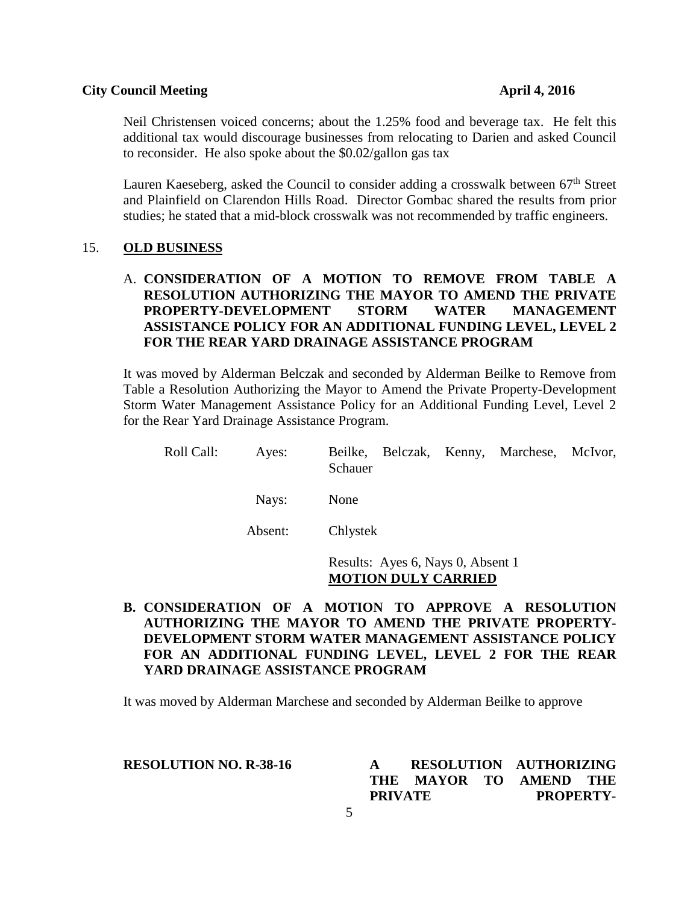Neil Christensen voiced concerns; about the 1.25% food and beverage tax. He felt this additional tax would discourage businesses from relocating to Darien and asked Council to reconsider. He also spoke about the \$0.02/gallon gas tax

Lauren Kaeseberg, asked the Council to consider adding a crosswalk between  $67<sup>th</sup>$  Street and Plainfield on Clarendon Hills Road. Director Gombac shared the results from prior studies; he stated that a mid-block crosswalk was not recommended by traffic engineers.

#### 15. **OLD BUSINESS**

# A. **CONSIDERATION OF A MOTION TO REMOVE FROM TABLE A RESOLUTION AUTHORIZING THE MAYOR TO AMEND THE PRIVATE PROPERTY-DEVELOPMENT STORM WATER MANAGEMENT ASSISTANCE POLICY FOR AN ADDITIONAL FUNDING LEVEL, LEVEL 2 FOR THE REAR YARD DRAINAGE ASSISTANCE PROGRAM**

It was moved by Alderman Belczak and seconded by Alderman Beilke to Remove from Table a Resolution Authorizing the Mayor to Amend the Private Property-Development Storm Water Management Assistance Policy for an Additional Funding Level, Level 2 for the Rear Yard Drainage Assistance Program.

| Roll Call: | Ayes:   | Beilke, Belczak, Kenny, Marchese, McIvor,<br>Schauer |  |  |
|------------|---------|------------------------------------------------------|--|--|
|            | Navs:   | None                                                 |  |  |
|            | Absent: | Chlystek                                             |  |  |

Results: Ayes 6, Nays 0, Absent 1 **MOTION DULY CARRIED**

# **B. CONSIDERATION OF A MOTION TO APPROVE A RESOLUTION AUTHORIZING THE MAYOR TO AMEND THE PRIVATE PROPERTY-DEVELOPMENT STORM WATER MANAGEMENT ASSISTANCE POLICY FOR AN ADDITIONAL FUNDING LEVEL, LEVEL 2 FOR THE REAR YARD DRAINAGE ASSISTANCE PROGRAM**

It was moved by Alderman Marchese and seconded by Alderman Beilke to approve

#### **RESOLUTION NO. R-38-16**

| $\mathbf{A}$   |                        |  | RESOLUTION AUTHORIZING |  |  |
|----------------|------------------------|--|------------------------|--|--|
|                | THE MAYOR TO AMEND THE |  |                        |  |  |
| <b>PRIVATE</b> |                        |  | <b>PROPERTY-</b>       |  |  |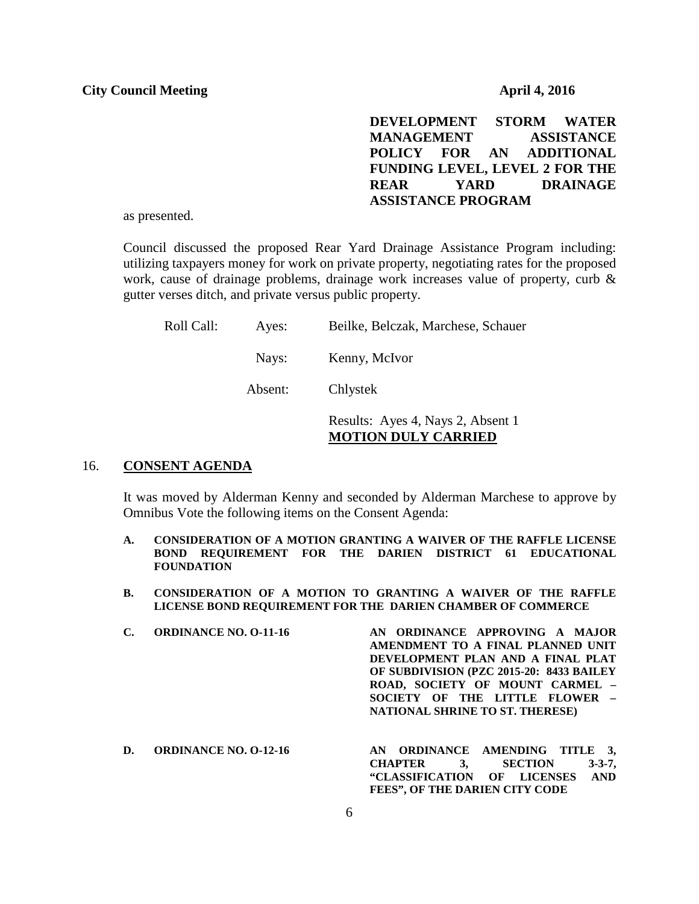**DEVELOPMENT STORM WATER MANAGEMENT ASSISTANCE POLICY FOR AN ADDITIONAL FUNDING LEVEL, LEVEL 2 FOR THE REAR YARD DRAINAGE ASSISTANCE PROGRAM**

as presented.

Council discussed the proposed Rear Yard Drainage Assistance Program including: utilizing taxpayers money for work on private property, negotiating rates for the proposed work, cause of drainage problems, drainage work increases value of property, curb & gutter verses ditch, and private versus public property.

| Roll Call:<br>Ayes: | Beilke, Belczak, Marchese, Schauer |
|---------------------|------------------------------------|
|---------------------|------------------------------------|

Nays: Kenny, McIvor

Absent: Chlystek

Results: Ayes 4, Nays 2, Absent 1 **MOTION DULY CARRIED**

#### 16. **CONSENT AGENDA**

It was moved by Alderman Kenny and seconded by Alderman Marchese to approve by Omnibus Vote the following items on the Consent Agenda:

- **A. CONSIDERATION OF A MOTION GRANTING A WAIVER OF THE RAFFLE LICENSE BOND REQUIREMENT FOR THE DARIEN DISTRICT 61 EDUCATIONAL FOUNDATION**
- **B. CONSIDERATION OF A MOTION TO GRANTING A WAIVER OF THE RAFFLE LICENSE BOND REQUIREMENT FOR THE DARIEN CHAMBER OF COMMERCE**
- **C. ORDINANCE NO. O-11-16 AN ORDINANCE APPROVING A MAJOR AMENDMENT TO A FINAL PLANNED UNIT DEVELOPMENT PLAN AND A FINAL PLAT OF SUBDIVISION (PZC 2015-20: 8433 BAILEY ROAD, SOCIETY OF MOUNT CARMEL – SOCIETY OF THE LITTLE FLOWER – NATIONAL SHRINE TO ST. THERESE)**
- **D. ORDINANCE NO. O-12-16 AN ORDINANCE AMENDING TITLE 3, CHAPTER 3, SECTION 3-3-7, "CLASSIFICATION OF LICENSES AND FEES", OF THE DARIEN CITY CODE**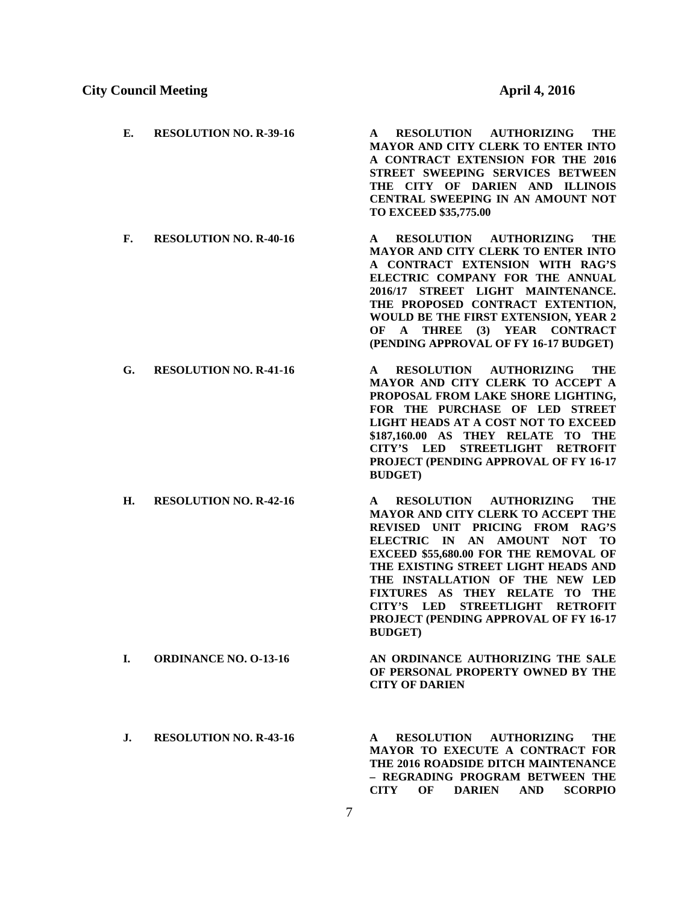| Е. | <b>RESOLUTION NO. R-39-16</b> | <b>RESOLUTION AUTHORIZING</b><br>THE<br>A<br><b>MAYOR AND CITY CLERK TO ENTER INTO</b><br>A CONTRACT EXTENSION FOR THE 2016<br>STREET SWEEPING SERVICES BETWEEN<br>THE CITY OF DARIEN AND ILLINOIS<br>CENTRAL SWEEPING IN AN AMOUNT NOT<br>TO EXCEED \$35,775.00                                                                                                                                   |
|----|-------------------------------|----------------------------------------------------------------------------------------------------------------------------------------------------------------------------------------------------------------------------------------------------------------------------------------------------------------------------------------------------------------------------------------------------|
| F. | <b>RESOLUTION NO. R-40-16</b> | RESOLUTION AUTHORIZING<br>$\mathbf{A}$<br>THE<br><b>MAYOR AND CITY CLERK TO ENTER INTO</b><br>A CONTRACT EXTENSION WITH RAG'S<br>ELECTRIC COMPANY FOR THE ANNUAL<br>2016/17 STREET LIGHT MAINTENANCE.<br>THE PROPOSED CONTRACT EXTENTION,<br>WOULD BE THE FIRST EXTENSION, YEAR 2<br>OF A THREE (3) YEAR CONTRACT<br>(PENDING APPROVAL OF FY 16-17 BUDGET)                                         |
| G. | <b>RESOLUTION NO. R-41-16</b> | RESOLUTION AUTHORIZING<br>THE<br>A<br>MAYOR AND CITY CLERK TO ACCEPT A<br>PROPOSAL FROM LAKE SHORE LIGHTING,<br>FOR THE PURCHASE OF LED STREET<br>LIGHT HEADS AT A COST NOT TO EXCEED<br>\$187,160.00 AS THEY RELATE TO<br>THE<br>CITY'S LED<br>STREETLIGHT RETROFIT<br>PROJECT (PENDING APPROVAL OF FY 16-17<br><b>BUDGET)</b>                                                                    |
| H. | <b>RESOLUTION NO. R-42-16</b> | RESOLUTION AUTHORIZING<br>THE<br>A<br>MAYOR AND CITY CLERK TO ACCEPT THE<br>REVISED UNIT PRICING FROM RAG'S<br>ELECTRIC IN AN AMOUNT NOT TO<br>EXCEED \$55,680.00 FOR THE REMOVAL OF<br>THE EXISTING STREET LIGHT HEADS AND<br>THE INSTALLATION OF THE NEW LED<br>FIXTURES AS THEY RELATE TO THE<br>STREETLIGHT RETROFIT<br>CITY'S LED<br>PROJECT (PENDING APPROVAL OF FY 16-17<br><b>BUDGET</b> ) |
| L. | <b>ORDINANCE NO. 0-13-16</b>  | AN ORDINANCE AUTHORIZING THE SALE<br>OF PERSONAL PROPERTY OWNED BY THE<br><b>CITY OF DARIEN</b>                                                                                                                                                                                                                                                                                                    |
| J. | <b>RESOLUTION NO. R-43-16</b> | <b>RESOLUTION</b><br><b>THE</b><br><b>AUTHORIZING</b><br>A<br><b>MAYOR TO EXECUTE A CONTRACT FOR</b><br>THE 2016 ROADSIDE DITCH MAINTENANCE<br>- REGRADING PROGRAM BETWEEN THE                                                                                                                                                                                                                     |

**CITY OF DARIEN AND SCORPIO**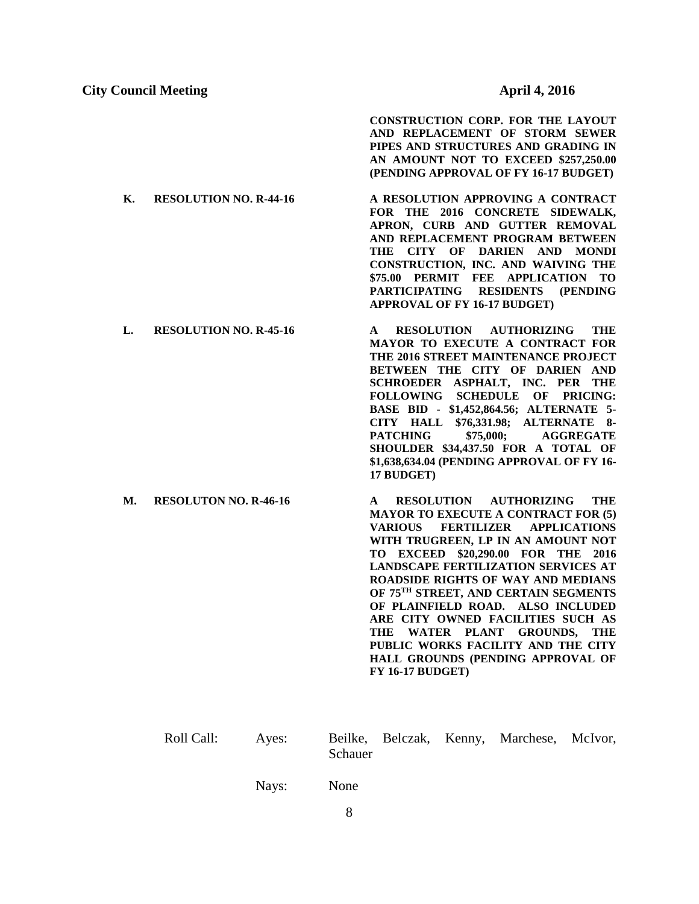**CONSTRUCTION CORP. FOR THE LAYOUT AND REPLACEMENT OF STORM SEWER PIPES AND STRUCTURES AND GRADING IN AN AMOUNT NOT TO EXCEED \$257,250.00 (PENDING APPROVAL OF FY 16-17 BUDGET)**

- **K. RESOLUTION NO. R-44-16 A RESOLUTION APPROVING A CONTRACT FOR THE 2016 CONCRETE SIDEWALK, APRON, CURB AND GUTTER REMOVAL AND REPLACEMENT PROGRAM BETWEEN THE CITY OF DARIEN AND MONDI CONSTRUCTION, INC. AND WAIVING THE \$75.00 PERMIT FEE APPLICATION TO PARTICIPATING RESIDENTS (PENDING APPROVAL OF FY 16-17 BUDGET)**
- **L. RESOLUTION NO. R-45-16 A RESOLUTION AUTHORIZING THE MAYOR TO EXECUTE A CONTRACT FOR THE 2016 STREET MAINTENANCE PROJECT BETWEEN THE CITY OF DARIEN AND SCHROEDER ASPHALT, INC. PER THE FOLLOWING SCHEDULE OF PRICING: BASE BID - \$1,452,864.56; ALTERNATE 5- CITY HALL \$76,331.98; ALTERNATE 8-** PATCHING \$75,000; AGGREGATE **SHOULDER \$34,437.50 FOR A TOTAL OF \$1,638,634.04 (PENDING APPROVAL OF FY 16- 17 BUDGET)**
- **M. RESOLUTON NO. R-46-16 A RESOLUTION AUTHORIZING THE MAYOR TO EXECUTE A CONTRACT FOR (5) VARIOUS FERTILIZER APPLICATIONS WITH TRUGREEN, LP IN AN AMOUNT NOT TO EXCEED \$20,290.00 FOR THE 2016 LANDSCAPE FERTILIZATION SERVICES AT ROADSIDE RIGHTS OF WAY AND MEDIANS OF 75TH STREET, AND CERTAIN SEGMENTS OF PLAINFIELD ROAD. ALSO INCLUDED ARE CITY OWNED FACILITIES SUCH AS THE WATER PLANT GROUNDS, THE PUBLIC WORKS FACILITY AND THE CITY HALL GROUNDS (PENDING APPROVAL OF FY 16-17 BUDGET)**

| Roll Call: | Ayes: |         |  | Beilke, Belczak, Kenny, Marchese, McIvor, |  |
|------------|-------|---------|--|-------------------------------------------|--|
|            |       | Schauer |  |                                           |  |

Nays: None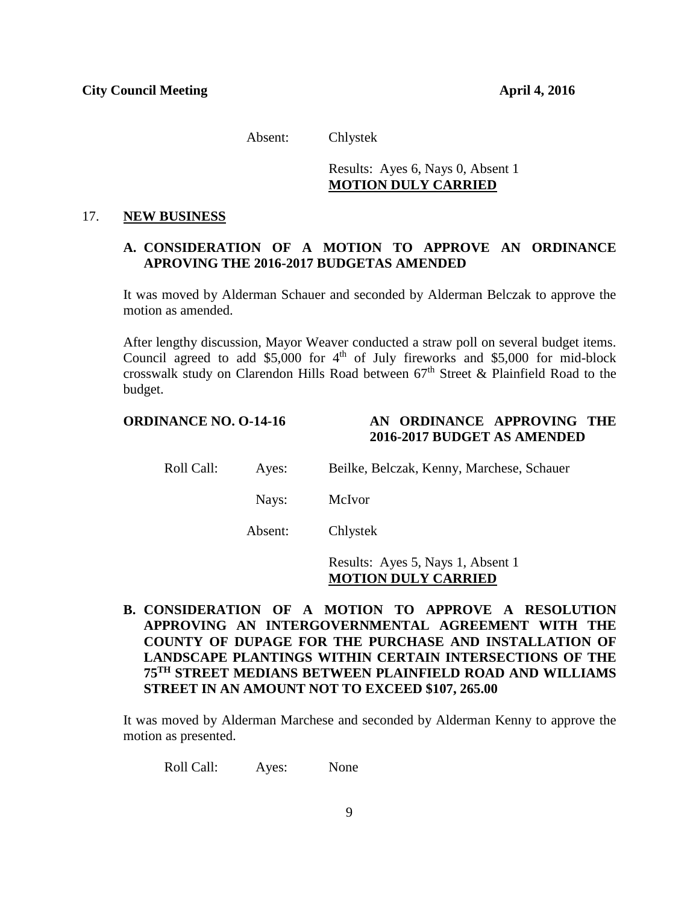Absent: Chlystek

# Results: Ayes 6, Nays 0, Absent 1 **MOTION DULY CARRIED**

#### 17. **NEW BUSINESS**

# **A. CONSIDERATION OF A MOTION TO APPROVE AN ORDINANCE APROVING THE 2016-2017 BUDGETAS AMENDED**

It was moved by Alderman Schauer and seconded by Alderman Belczak to approve the motion as amended.

After lengthy discussion, Mayor Weaver conducted a straw poll on several budget items. Council agreed to add \$5,000 for  $4<sup>th</sup>$  of July fireworks and \$5,000 for mid-block crosswalk study on Clarendon Hills Road between  $67<sup>th</sup>$  Street & Plainfield Road to the budget.

# **ORDINANCE NO. O-14-16 AN ORDINANCE APPROVING THE 2016-2017 BUDGET AS AMENDED**

Roll Call: Ayes: Beilke, Belczak, Kenny, Marchese, Schauer

Nays: McIvor

Absent: Chlystek

# Results: Ayes 5, Nays 1, Absent 1 **MOTION DULY CARRIED**

**B. CONSIDERATION OF A MOTION TO APPROVE A RESOLUTION APPROVING AN INTERGOVERNMENTAL AGREEMENT WITH THE COUNTY OF DUPAGE FOR THE PURCHASE AND INSTALLATION OF LANDSCAPE PLANTINGS WITHIN CERTAIN INTERSECTIONS OF THE 75TH STREET MEDIANS BETWEEN PLAINFIELD ROAD AND WILLIAMS STREET IN AN AMOUNT NOT TO EXCEED \$107, 265.00**

It was moved by Alderman Marchese and seconded by Alderman Kenny to approve the motion as presented.

Roll Call: Ayes: None